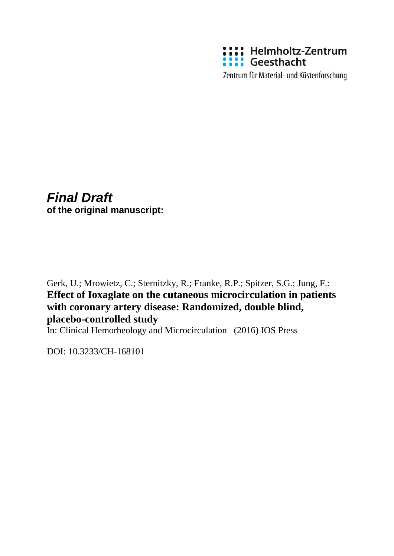

Zentrum für Material- und Küstenforschung

# *Final Draft* **of the original manuscript:**

Gerk, U.; Mrowietz, C.; Sternitzky, R.; Franke, R.P.; Spitzer, S.G.; Jung, F.: **Effect of Ioxaglate on the cutaneous microcirculation in patients with coronary artery disease: Randomized, double blind, placebo-controlled study**

In: Clinical Hemorheology and Microcirculation (2016) IOS Press

DOI: 10.3233/CH-168101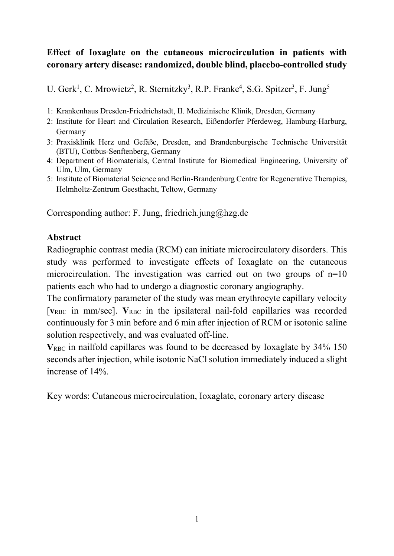# **Effect of Ioxaglate on the cutaneous microcirculation in patients with coronary artery disease: randomized, double blind, placebo-controlled study**

U. Gerk<sup>1</sup>, C. Mrowietz<sup>2</sup>, R. Sternitzky<sup>3</sup>, R.P. Franke<sup>4</sup>, S.G. Spitzer<sup>3</sup>, F. Jung<sup>5</sup>

- 1: Krankenhaus Dresden-Friedrichstadt, II. Medizinische Klinik, Dresden, Germany
- 2: Institute for Heart and Circulation Research, Eißendorfer Pferdeweg, Hamburg-Harburg, Germany
- 3: Praxisklinik Herz und Gefäße, Dresden, and Brandenburgische Technische Universität (BTU), Cottbus-Senftenberg, Germany
- 4: Department of Biomaterials, Central Institute for Biomedical Engineering, University of Ulm, Ulm, Germany
- 5: Institute of Biomaterial Science and Berlin-Brandenburg Centre for Regenerative Therapies, Helmholtz-Zentrum Geesthacht, Teltow, Germany

Corresponding author: F. Jung, friedrich.jung@hzg.de

### **Abstract**

Radiographic contrast media (RCM) can initiate microcirculatory disorders. This study was performed to investigate effects of Ioxaglate on the cutaneous microcirculation. The investigation was carried out on two groups of n=10 patients each who had to undergo a diagnostic coronary angiography.

The confirmatory parameter of the study was mean erythrocyte capillary velocity [ $v_{RBC}$  in mm/sec].  $V_{RBC}$  in the ipsilateral nail-fold capillaries was recorded continuously for 3 min before and 6 min after injection of RCM or isotonic saline solution respectively, and was evaluated off-line.

**V**RBC in nailfold capillares was found to be decreased by Ioxaglate by 34% 150 seconds after injection, while isotonic NaCl solution immediately induced a slight increase of 14%.

Key words: Cutaneous microcirculation, Ioxaglate, coronary artery disease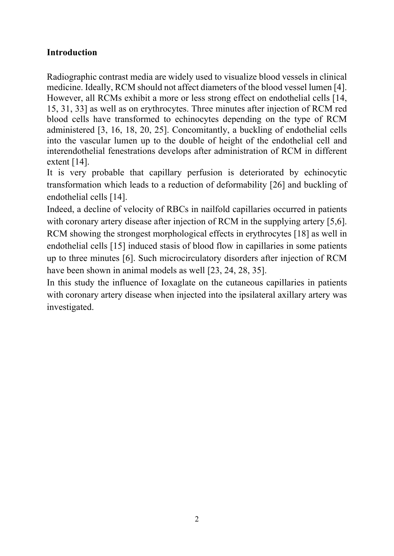## **Introduction**

Radiographic contrast media are widely used to visualize blood vessels in clinical medicine. Ideally, RCM should not affect diameters of the blood vessel lumen [4]. However, all RCMs exhibit a more or less strong effect on endothelial cells [14, 15, 31, 33] as well as on erythrocytes. Three minutes after injection of RCM red blood cells have transformed to echinocytes depending on the type of RCM administered [3, 16, 18, 20, 25]. Concomitantly, a buckling of endothelial cells into the vascular lumen up to the double of height of the endothelial cell and interendothelial fenestrations develops after administration of RCM in different extent  $[14]$ .

It is very probable that capillary perfusion is deteriorated by echinocytic transformation which leads to a reduction of deformability [26] and buckling of endothelial cells [14].

Indeed, a decline of velocity of RBCs in nailfold capillaries occurred in patients with coronary artery disease after injection of RCM in the supplying artery [5,6]. RCM showing the strongest morphological effects in erythrocytes [18] as well in endothelial cells [15] induced stasis of blood flow in capillaries in some patients up to three minutes [6]. Such microcirculatory disorders after injection of RCM have been shown in animal models as well [23, 24, 28, 35].

In this study the influence of Ioxaglate on the cutaneous capillaries in patients with coronary artery disease when injected into the ipsilateral axillary artery was investigated.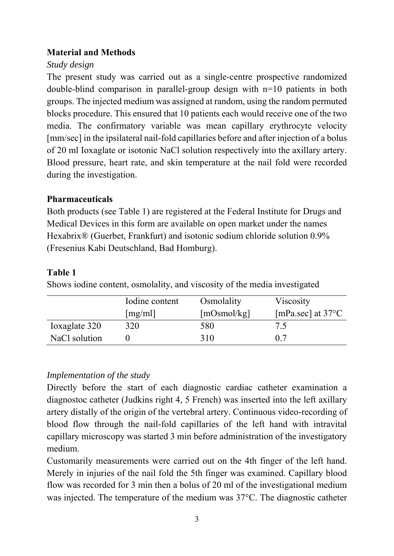### **Material and Methods**

### *Study design*

The present study was carried out as a single-centre prospective randomized double-blind comparison in parallel-group design with n=10 patients in both groups. The injected medium was assigned at random, using the random permuted blocks procedure. This ensured that 10 patients each would receive one of the two media. The confirmatory variable was mean capillary erythrocyte velocity [mm/sec] in the ipsilateral nail-fold capillaries before and after injection of a bolus of 20 ml Ioxaglate or isotonic NaCl solution respectively into the axillary artery. Blood pressure, heart rate, and skin temperature at the nail fold were recorded during the investigation.

### **Pharmaceuticals**

Both products (see Table 1) are registered at the Federal Institute for Drugs and Medical Devices in this form are available on open market under the names Hexabrix® (Guerbet, Frankfurt) and isotonic sodium chloride solution 0.9% (Fresenius Kabi Deutschland, Bad Homburg).

### **Table 1**

Shows iodine content, osmolality, and viscosity of the media investigated

|               | Iodine content | Osmolality  | Viscosity                   |
|---------------|----------------|-------------|-----------------------------|
|               | [mg/ml]        | [mOsmol/kg] | [mPa.sec] at $37^{\circ}$ C |
| Ioxaglate 320 | 320            | 580         | 7.5                         |
| NaCl solution |                | 310         | 07                          |

### *Implementation of the study*

Directly before the start of each diagnostic cardiac catheter examination a diagnostoc catheter (Judkins right 4, 5 French) was inserted into the left axillary artery distally of the origin of the vertebral artery. Continuous video-recording of blood flow through the nail-fold capillaries of the left hand with intravital capillary microscopy was started 3 min before administration of the investigatory medium.

Customarily measurements were carried out on the 4th finger of the left hand. Merely in injuries of the nail fold the 5th finger was examined. Capillary blood flow was recorded for 3 min then a bolus of 20 ml of the investigational medium was injected. The temperature of the medium was 37°C. The diagnostic catheter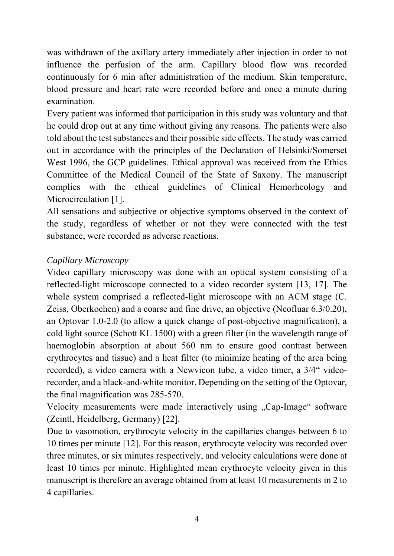was withdrawn of the axillary artery immediately after injection in order to not influence the perfusion of the arm. Capillary blood flow was recorded continuously for 6 min after administration of the medium. Skin temperature, blood pressure and heart rate were recorded before and once a minute during examination.

Every patient was informed that participation in this study was voluntary and that he could drop out at any time without giving any reasons. The patients were also told about the test substances and their possible side effects. The study was carried out in accordance with the principles of the Declaration of Helsinki/Somerset West 1996, the GCP guidelines. Ethical approval was received from the Ethics Committee of the Medical Council of the State of Saxony. The manuscript complies with the ethical guidelines of Clinical Hemorheology and Microcirculation [1].

All sensations and subjective or objective symptoms observed in the context of the study, regardless of whether or not they were connected with the test substance, were recorded as adverse reactions.

# *Capillary Microscopy*

Video capillary microscopy was done with an optical system consisting of a reflected-light microscope connected to a video recorder system [13, 17]. The whole system comprised a reflected-light microscope with an ACM stage (C. Zeiss, Oberkochen) and a coarse and fine drive, an objective (Neofluar 6.3/0.20), an Optovar 1.0-2.0 (to allow a quick change of post-objective magnification), a cold light source (Schott KL 1500) with a green filter (in the wavelength range of haemoglobin absorption at about 560 nm to ensure good contrast between erythrocytes and tissue) and a heat filter (to minimize heating of the area being recorded), a video camera with a Newvicon tube, a video timer, a  $3/4$ " videorecorder, and a black-and-white monitor. Depending on the setting of the Optovar, the final magnification was 285-570.

Velocity measurements were made interactively using "Cap-Image" software (Zeintl, Heidelberg, Germany) [22].

Due to vasomotion, erythrocyte velocity in the capillaries changes between 6 to 10 times per minute [12]. For this reason, erythrocyte velocity was recorded over three minutes, or six minutes respectively, and velocity calculations were done at least 10 times per minute. Highlighted mean erythrocyte velocity given in this manuscript is therefore an average obtained from at least 10 measurements in 2 to 4 capillaries.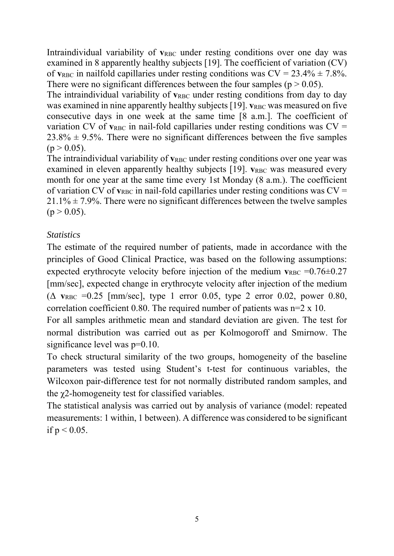Intraindividual variability of  $v_{RBC}$  under resting conditions over one day was examined in 8 apparently healthy subjects [19]. The coefficient of variation (CV) of  $v_{RBC}$  in nailfold capillaries under resting conditions was  $CV = 23.4\% \pm 7.8\%$ . There were no significant differences between the four samples ( $p > 0.05$ ).

The intraindividual variability of  $v_{RBC}$  under resting conditions from day to day was examined in nine apparently healthy subjects [19]. **v**<sub>RBC</sub> was measured on five consecutive days in one week at the same time [8 a.m.]. The coefficient of variation CV of  $v_{RBC}$  in nail-fold capillaries under resting conditions was  $CV =$  $23.8\% \pm 9.5\%$ . There were no significant differences between the five samples  $(p > 0.05)$ .

The intraindividual variability of  $v_{RBC}$  under resting conditions over one year was examined in eleven apparently healthy subjects [19]. **v**<sub>RBC</sub> was measured every month for one year at the same time every 1st Monday (8 a.m.). The coefficient of variation CV of  $v_{RBC}$  in nail-fold capillaries under resting conditions was  $CV =$  $21.1\% \pm 7.9\%$ . There were no significant differences between the twelve samples  $(p > 0.05)$ .

### *Statistics*

The estimate of the required number of patients, made in accordance with the principles of Good Clinical Practice, was based on the following assumptions: expected erythrocyte velocity before injection of the medium  $v_{RBC} = 0.76 \pm 0.27$ [mm/sec], expected change in erythrocyte velocity after injection of the medium  $(\Delta$  v<sub>RBC</sub> =0.25 [mm/sec], type 1 error 0.05, type 2 error 0.02, power 0.80, correlation coefficient 0.80. The required number of patients was  $n=2 \times 10$ .

For all samples arithmetic mean and standard deviation are given. The test for normal distribution was carried out as per Kolmogoroff and Smirnow. The significance level was  $p=0.10$ .

To check structural similarity of the two groups, homogeneity of the baseline parameters was tested using Student's t-test for continuous variables, the Wilcoxon pair-difference test for not normally distributed random samples, and the χ2-homogeneity test for classified variables.

The statistical analysis was carried out by analysis of variance (model: repeated measurements: 1 within, 1 between). A difference was considered to be significant if  $p < 0.05$ .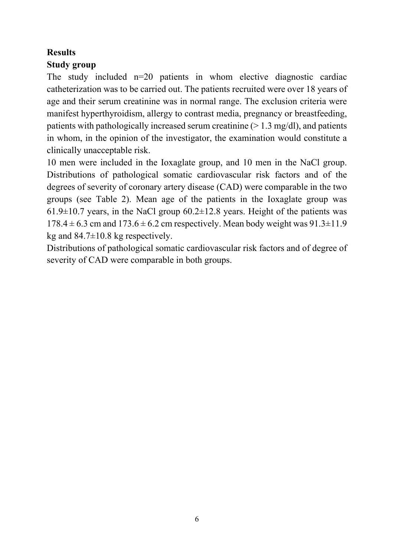### **Results**

## **Study group**

The study included  $n=20$  patients in whom elective diagnostic cardiac catheterization was to be carried out. The patients recruited were over 18 years of age and their serum creatinine was in normal range. The exclusion criteria were manifest hyperthyroidism, allergy to contrast media, pregnancy or breastfeeding, patients with pathologically increased serum creatinine  $(> 1.3 \text{ mg/dl})$ , and patients in whom, in the opinion of the investigator, the examination would constitute a clinically unacceptable risk.

10 men were included in the Ioxaglate group, and 10 men in the NaCl group. Distributions of pathological somatic cardiovascular risk factors and of the degrees of severity of coronary artery disease (CAD) were comparable in the two groups (see Table 2). Mean age of the patients in the Ioxaglate group was  $61.9\pm10.7$  years, in the NaCl group  $60.2\pm12.8$  years. Height of the patients was  $178.4 \pm 6.3$  cm and  $173.6 \pm 6.2$  cm respectively. Mean body weight was  $91.3 \pm 11.9$ kg and  $84.7\pm10.8$  kg respectively.

Distributions of pathological somatic cardiovascular risk factors and of degree of severity of CAD were comparable in both groups.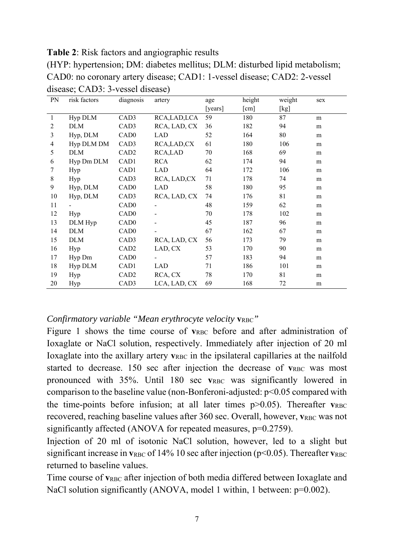**Table 2**: Risk factors and angiographic results

| (HYP: hypertension; DM: diabetes mellitus; DLM: disturbed lipid metabolism; |
|-----------------------------------------------------------------------------|
| CAD0: no coronary artery disease; CAD1: 1-vessel disease; CAD2: 2-vessel    |
| disease; CAD3: 3-vessel disease)                                            |

| PN             | risk factors | diagnosis        | artery        | age     | height | weight | sex |
|----------------|--------------|------------------|---------------|---------|--------|--------|-----|
|                |              |                  |               | [years] | [cm]   | [kg]   |     |
| $\mathbf{1}$   | Hyp DLM      | CAD3             | RCA, LAD, LCA | 59      | 180    | 87     | m   |
| 2              | <b>DLM</b>   | CAD3             | RCA, LAD, CX  | 36      | 182    | 94     | m   |
| 3              | Hyp, DLM     | CAD <sub>0</sub> | LAD           | 52      | 164    | 80     | m   |
| $\overline{4}$ | Hyp DLM DM   | CAD <sub>3</sub> | RCA, LAD, CX  | 61      | 180    | 106    | m   |
| 5              | <b>DLM</b>   | CAD <sub>2</sub> | RCA,LAD       | 70      | 168    | 69     | m   |
| 6              | Hyp Dm DLM   | CAD1             | <b>RCA</b>    | 62      | 174    | 94     | m   |
| 7              | Hyp          | CAD1             | LAD           | 64      | 172    | 106    | m   |
| $\,8\,$        | Hyp          | CAD3             | RCA, LAD, CX  | 71      | 178    | 74     | m   |
| 9              | Hyp, DLM     | CAD <sub>0</sub> | LAD           | 58      | 180    | 95     | m   |
| 10             | Hyp, DLM     | CAD3             | RCA, LAD, CX  | 74      | 176    | 81     | m   |
| 11             |              | CAD <sub>0</sub> |               | 48      | 159    | 62     | m   |
| 12             | Hyp          | CAD <sub>0</sub> |               | 70      | 178    | 102    | m   |
| 13             | DLM Hyp      | CAD <sub>0</sub> |               | 45      | 187    | 96     | m   |
| 14             | <b>DLM</b>   | CAD <sub>0</sub> |               | 67      | 162    | 67     | m   |
| 15             | <b>DLM</b>   | CAD3             | RCA, LAD, CX  | 56      | 173    | 79     | m   |
| 16             | Hyp          | CAD <sub>2</sub> | LAD, CX       | 53      | 170    | 90     | m   |
| 17             | Hyp Dm       | CAD <sub>0</sub> |               | 57      | 183    | 94     | m   |
| 18             | Hyp DLM      | CAD1             | <b>LAD</b>    | 71      | 186    | 101    | m   |
| 19             | Hyp          | CAD <sub>2</sub> | RCA, CX       | 78      | 170    | 81     | m   |
| 20             | Hyp          | CAD3             | LCA, LAD, CX  | 69      | 168    | 72     | m   |

*Confirmatory variable "Mean erythrocyte velocity*  $v_{RBC}$ *"* 

Figure 1 shows the time course of  $v_{RBC}$  before and after administration of Ioxaglate or NaCl solution, respectively. Immediately after injection of 20 ml Ioxaglate into the axillary artery  $v_{RBC}$  in the ipsilateral capillaries at the nailfold started to decrease. 150 sec after injection the decrease of  $v_{RBC}$  was most pronounced with 35%. Until 180 sec  $v_{RBC}$  was significantly lowered in comparison to the baseline value (non-Bonferoni-adjusted:  $p<0.05$  compared with the time-points before infusion; at all later times  $p > 0.05$ ). Thereafter  $v_{RBC}$ recovered, reaching baseline values after 360 sec. Overall, however,  $v_{RBC}$  was not significantly affected (ANOVA for repeated measures,  $p=0.2759$ ).

Injection of 20 ml of isotonic NaCl solution, however, led to a slight but significant increase in  $v_{RBC}$  of 14% 10 sec after injection ( $p$ <0.05). Thereafter  $v_{RBC}$ returned to baseline values.

Time course of  $v_{RBC}$  after injection of both media differed between Ioxaglate and NaCl solution significantly (ANOVA, model 1 within, 1 between: p=0.002).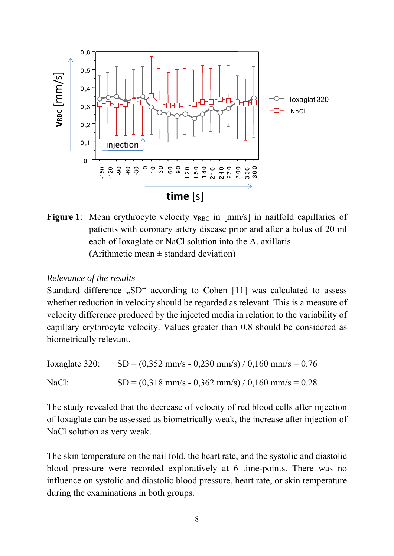

**Figure 1:** Mean erythrocyte velocity  $v_{RBC}$  in [mm/s] in nailfold capillaries of patients with coronary artery disease prior and after a bolus of 20 ml each of Ioxaglate or NaCl solution into the A. axillaris (Arithmetic mean  $\pm$  standard deviation)

#### *Relevance of the results*

Standard difference "SD" according to Cohen [11] was calculated to assess whether reduction in velocity should be regarded as relevant. This is a measure of velocity difference produced by the injected media in relation to the variability of capillary erythrocyte velocity. Values greater than 0.8 should be considered as biometrically relevant.

Ioxaglate 320:  $SD = (0,352 \text{ mm/s} - 0,230 \text{ mm/s}) / 0,160 \text{ mm/s} = 0.76$ NaCl:  $SD = (0.318 \text{ mm/s} - 0.362 \text{ mm/s}) / 0.160 \text{ mm/s} = 0.28$ 

The study revealed that the decrease of velocity of red blood cells after injection of Ioxaglate can be assessed as biometrically weak, the increase after injection of NaCl solution as very weak.

The skin temperature on the nail fold, the heart rate, and the systolic and diastolic blood pressure were recorded exploratively at 6 time-points. There was no influence on systolic and diastolic blood pressure, heart rate, or skin temperature during the examinations in both groups.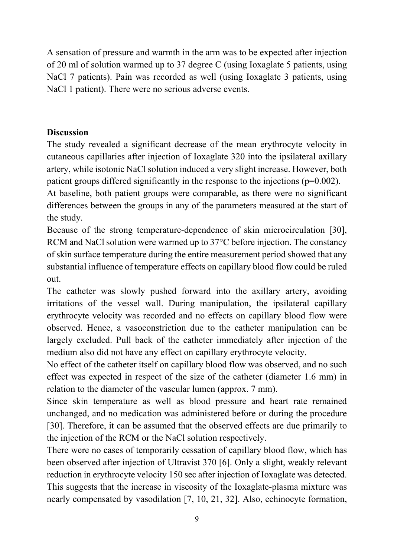A sensation of pressure and warmth in the arm was to be expected after injection of 20 ml of solution warmed up to 37 degree C (using Ioxaglate 5 patients, using NaCl 7 patients). Pain was recorded as well (using Ioxaglate 3 patients, using NaCl 1 patient). There were no serious adverse events.

### **Discussion**

The study revealed a significant decrease of the mean erythrocyte velocity in cutaneous capillaries after injection of Ioxaglate 320 into the ipsilateral axillary artery, while isotonic NaCl solution induced a very slight increase. However, both patient groups differed significantly in the response to the injections  $(p=0.002)$ .

At baseline, both patient groups were comparable, as there were no significant differences between the groups in any of the parameters measured at the start of the study.

Because of the strong temperature-dependence of skin microcirculation [30], RCM and NaCl solution were warmed up to 37<sup>o</sup>C before injection. The constancy of skin surface temperature during the entire measurement period showed that any substantial influence of temperature effects on capillary blood flow could be ruled out.

The catheter was slowly pushed forward into the axillary artery, avoiding irritations of the vessel wall. During manipulation, the ipsilateral capillary erythrocyte velocity was recorded and no effects on capillary blood flow were observed. Hence, a vasoconstriction due to the catheter manipulation can be largely excluded. Pull back of the catheter immediately after injection of the medium also did not have any effect on capillary erythrocyte velocity.

No effect of the catheter itself on capillary blood flow was observed, and no such effect was expected in respect of the size of the catheter (diameter 1.6 mm) in relation to the diameter of the vascular lumen (approx. 7 mm).

Since skin temperature as well as blood pressure and heart rate remained unchanged, and no medication was administered before or during the procedure [30]. Therefore, it can be assumed that the observed effects are due primarily to the injection of the RCM or the NaCl solution respectively.

There were no cases of temporarily cessation of capillary blood flow, which has been observed after injection of Ultravist 370 [6]. Only a slight, weakly relevant reduction in erythrocyte velocity 150 sec after injection of Ioxaglate was detected. This suggests that the increase in viscosity of the Ioxaglate-plasma mixture was nearly compensated by vasodilation [7, 10, 21, 32]. Also, echinocyte formation,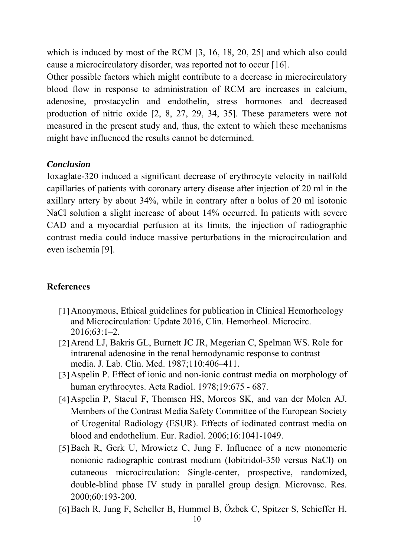which is induced by most of the RCM [3, 16, 18, 20, 25] and which also could cause a microcirculatory disorder, was reported not to occur [16].

Other possible factors which might contribute to a decrease in microcirculatory blood flow in response to administration of RCM are increases in calcium, adenosine, prostacyclin and endothelin, stress hormones and decreased production of nitric oxide [2, 8, 27, 29, 34, 35]. These parameters were not measured in the present study and, thus, the extent to which these mechanisms might have influenced the results cannot be determined.

#### *Conclusion*

Ioxaglate-320 induced a significant decrease of erythrocyte velocity in nailfold capillaries of patients with coronary artery disease after injection of 20 ml in the axillary artery by about 34%, while in contrary after a bolus of 20 ml isotonic NaCl solution a slight increase of about 14% occurred. In patients with severe CAD and a myocardial perfusion at its limits, the injection of radiographic contrast media could induce massive perturbations in the microcirculation and even ischemia [9].

### **References**

- [1]Anonymous, Ethical guidelines for publication in Clinical Hemorheology and Microcirculation: Update 2016, Clin. Hemorheol. Microcirc. 2016;63:1–2.
- [2]Arend LJ, Bakris GL, Burnett JC JR, Megerian C, Spelman WS. Role for intrarenal adenosine in the renal hemodynamic response to contrast media. J. Lab. Clin. Med. 1987;110:406–411.
- [3]Aspelin P. Effect of ionic and non-ionic contrast media on morphology of human erythrocytes. Acta Radiol. 1978;19:675 - 687.
- [4]Aspelin P, Stacul F, Thomsen HS, Morcos SK, and van der Molen AJ. Members of the Contrast Media Safety Committee of the European Society of Urogenital Radiology (ESUR). Effects of iodinated contrast media on blood and endothelium. Eur. Radiol. 2006;16:1041-1049.
- [5]Bach R, Gerk U, Mrowietz C, Jung F. Influence of a new monomeric nonionic radiographic contrast medium (Iobitridol-350 versus NaCl) on cutaneous microcirculation: Single-center, prospective, randomized, double-blind phase IV study in parallel group design. Microvasc. Res. 2000;60:193-200.
- [6]Bach R, Jung F, Scheller B, Hummel B, Özbek C, Spitzer S, Schieffer H.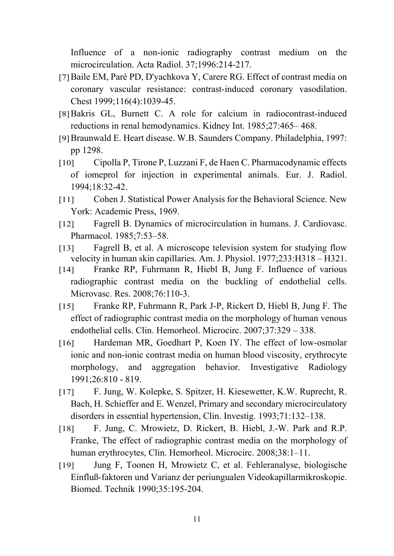Influence of a non-ionic radiography contrast medium on the microcirculation. Acta Radiol. 37;1996:214-217.

- [7]Baile EM, Paré PD, D'yachkova Y, Carere RG. Effect of contrast media on coronary vascular resistance: contrast-induced coronary vasodilation. Chest 1999;116(4):1039-45.
- [8]Bakris GL, Burnett C. A role for calcium in radiocontrast-induced reductions in renal hemodynamics. Kidney Int. 1985;27:465– 468.
- [9]Braunwald E. Heart disease. W.B. Saunders Company. Philadelphia, 1997: pp 1298.
- [10] Cipolla P, Tirone P, Luzzani F, de Haen C. Pharmacodynamic effects of iomeprol for injection in experimental animals. Eur. J. Radiol. 1994;18:32-42.
- [11] Cohen J. Statistical Power Analysis for the Behavioral Science. New York: Academic Press, 1969.
- [12] Fagrell B. Dynamics of microcirculation in humans. J. Cardiovasc. Pharmacol. 1985;7:53–58.
- [13] Fagrell B, et al. A microscope television system for studying flow velocity in human skin capillaries. Am. J. Physiol. 1977;233:H318 – H321.
- [14] Franke RP, Fuhrmann R, Hiebl B, Jung F. Influence of various radiographic contrast media on the buckling of endothelial cells. Microvasc. Res. 2008;76:110-3.
- [15] Franke RP, Fuhrmann R, Park J-P, Rickert D, Hiebl B, Jung F. The effect of radiographic contrast media on the morphology of human venous endothelial cells. Clin. Hemorheol. Microcirc. 2007;37:329 – 338.
- [16] Hardeman MR, Goedhart P, Koen IY. The effect of low-osmolar ionic and non-ionic contrast media on human blood viscosity, erythrocyte morphology, and aggregation behavior. Investigative Radiology 1991;26:810 - 819.
- [17] F. Jung, W. Kolepke, S. Spitzer, H. Kiesewetter, K.W. Ruprecht, R. Bach, H. Schieffer and E. Wenzel, Primary and secondary microcirculatory disorders in essential hypertension, Clin. Investig. 1993;71:132–138.
- [18] F. Jung, C. Mrowietz, D. Rickert, B. Hiebl, J.-W. Park and R.P. Franke, The effect of radiographic contrast media on the morphology of human erythrocytes, Clin. Hemorheol. Microcirc. 2008;38:1–11.
- [19] Jung F, Toonen H, Mrowietz C, et al. Fehleranalyse, biologische Einfluß-faktoren und Varianz der periungualen Videokapillarmikroskopie. Biomed. Technik 1990;35:195-204.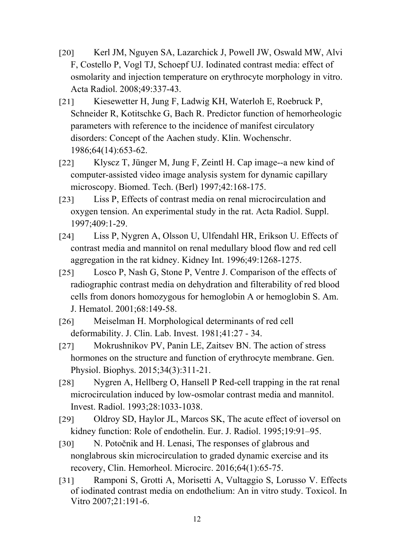- [20] Kerl JM, Nguyen SA, Lazarchick J, Powell JW, Oswald MW, Alvi F, Costello P, Vogl TJ, Schoepf UJ. Iodinated contrast media: effect of osmolarity and injection temperature on erythrocyte morphology in vitro. Acta Radiol. 2008;49:337-43.
- [21] Kiesewetter H, Jung F, Ladwig KH, Waterloh E, Roebruck P, Schneider R, Kotitschke G, Bach R. Predictor function of hemorheologic parameters with reference to the incidence of manifest circulatory disorders: Concept of the Aachen study. Klin. Wochenschr. 1986;64(14):653-62.
- [22] Klyscz T, Jünger M, Jung F, Zeintl H. Cap image--a new kind of computer-assisted video image analysis system for dynamic capillary microscopy. Biomed. Tech. (Berl) 1997;42:168-175.
- [23] Liss P, Effects of contrast media on renal microcirculation and oxygen tension. An experimental study in the rat. Acta Radiol. Suppl. 1997;409:1-29.
- [24] Liss P, Nygren A, Olsson U, Ulfendahl HR, Erikson U. Effects of contrast media and mannitol on renal medullary blood flow and red cell aggregation in the rat kidney. Kidney Int. 1996;49:1268-1275.
- [25] Losco P, Nash G, Stone P, Ventre J. Comparison of the effects of radiographic contrast media on dehydration and filterability of red blood cells from donors homozygous for hemoglobin A or hemoglobin S. Am. J. Hematol. 2001;68:149-58.
- [26] Meiselman H. Morphological determinants of red cell deformability. J. Clin. Lab. Invest. 1981;41:27 - 34.
- [27] Mokrushnikov PV, Panin LE, Zaitsev BN. The action of stress hormones on the structure and function of erythrocyte membrane. Gen. Physiol. Biophys. 2015;34(3):311-21.
- [28] Nygren A, Hellberg O, Hansell P Red-cell trapping in the rat renal microcirculation induced by low-osmolar contrast media and mannitol. Invest. Radiol. 1993;28:1033-1038.
- [29] Oldroy SD, Haylor JL, Marcos SK, The acute effect of ioversol on kidney function: Role of endothelin. Eur. J. Radiol. 1995;19:91–95.
- [30] N. Potočnik and H. Lenasi, The responses of glabrous and nonglabrous skin microcirculation to graded dynamic exercise and its recovery, Clin. Hemorheol. Microcirc. 2016;64(1):65-75.
- [31] Ramponi S, Grotti A, Morisetti A, Vultaggio S, Lorusso V. Effects of iodinated contrast media on endothelium: An in vitro study. Toxicol. In Vitro 2007;21:191-6.